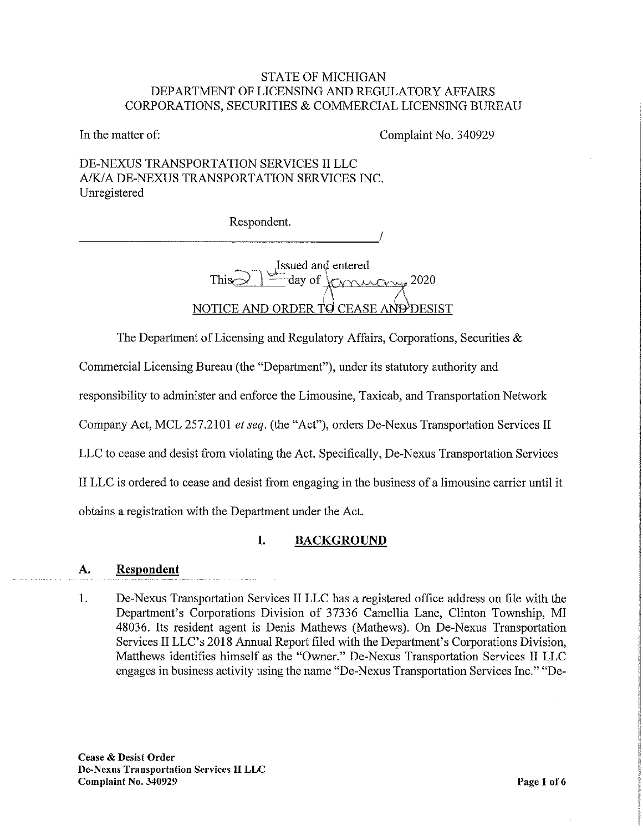# STATE OF MICHIGAN DEPARTMENT OF LICENSING AND REGULATORY AFFAIRS CORPORATIONS, SECURITIES & COMMERCIAL LICENSING BUREAU

In the matter of: Complaint No. 340929

# DE-NEXUS TRANSPORTATION SERVICES II LLC A/K/A DE-NEXUS TRANSPORTATION SERVICES INC. Unregistered

Respondent.

Issued and entered  $\frac{1}{\pm}$  day of  $\frac{1}{\pm}$  2020 NOTICE AND ORDER TO CEASE AND DESIST

The Department of Licensing and Regulatory Affairs, Corporations, Securities &

Commercial Licensing Bureau (the "Department"), under its statutory authority and

responsibility to administer and enforce the Limousine, Taxicab, and Transportation Network

Company Act, MCL 257.2101 et seq. (the "Act"), orders De-Nexus Transportation Services II

LLC to cease and desist from violating the Act. Specifically, De-Nexus Transportation Services

II LLC is ordered to cease and desist from engaging in the business of a limousine carrier until it

obtains a registration with the Department under the Act.

# I. BACKGROUND

# A. Respondent

1. De-Nexus Transportation Services II LLC has a registered office address on file with the Department's Corporations Division of 37336 Camellia Lane, Clinton Township, MI 48036. Its resident agent is Denis Mathews (Mathews). On De-Nexus Transportation Services II LLC's 2018 Annual Report filed with the Department's Corporations Division, Matthews identifies himself as the "Owner." De-Nexus Transportation Services II LLC engages in business activity using the name "De-Nexus Transportation Services Inc." "De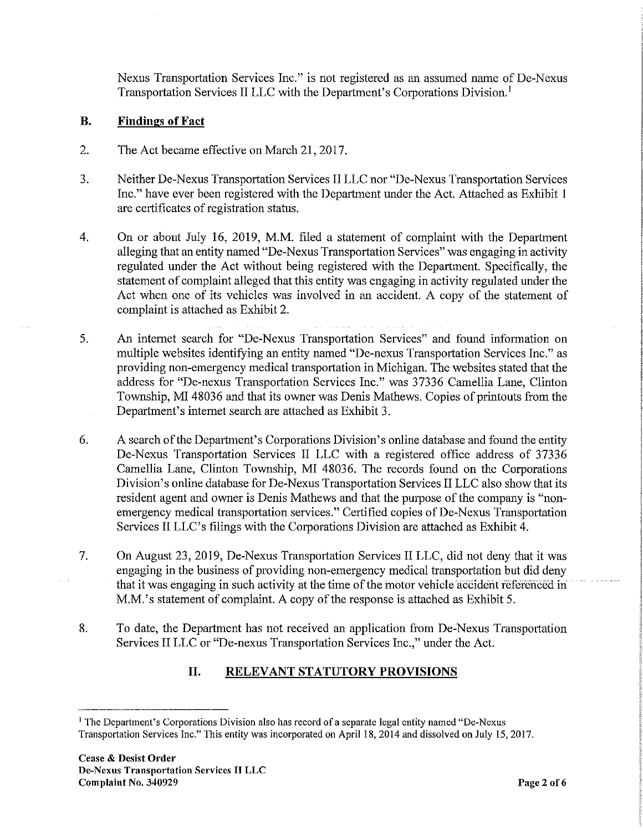Nexus Transportation Services Inc." is not registered as an assumed name of De-Nexus Transportation Services II LLC with the Department's Corporations Division.'

# B. Findings of Fact

- 2. The Act became effective on March 21, 2017.
- 3. Neither De-Nexus Transportation Services II LLC nor "De-Nexus Transportation Services Inc." have ever been registered with the Department under the Act. Attached as Exhibit 1 are certificates of registration status.
- 4. On or about July 16, 2019, M.M. filed a statement of complaint with the Department alleging that an entity named "De-Nexus Transportation Services" was engaging in activity regulated under the Act without being registered with the Department. Specifically, the statement of complaint alleged that this entity was engaging in activity regulated under the Act when one of its vehicles was involved in an accident. A copy of the statement of complaint is attached as Exhibit 2.
- 5. An internet search for "De-Nexus Transportation Services" and found information on multiple websites identifying an entity named "De-nexus Transportation Services Inc." as providing non-emergency medical transportation in Michigan. The websites stated that the address for "De-nexus Transportation Services Inc." was 37336 Camellia Lane, Clinton Township, MI 48036 and that its owner was Denis Mathews. Copies of printouts from the Department's internet search are attached as Exhibit 3.
- 6. A search of the Department's Corporations Division's online database and found the entity De-Nexus Transportation Services II LLC with a registered office address of 37336 Camellia Lane, Clinton Township, MI 48036. The records found on the Corporations Division's online database for De-Nexus Transportation Services II LLC also show that its resident agent and owner is Denis Mathews and that the purpose of the company is "nonemergency medical transportation services." Certified copies of De-Nexus Transportation Services II LLC's filings with the Corporations Division are attached as Exhibit 4.
- 7. On August 23, 2019, De-Nexus Transportation Services II LLC, did not deny that it was engaging in the business of providing non-emergency medical transportation but did deny that it was engaging in such activity at the time of the motor vehicle accident referenced in M.M.'s statement of complaint. A copy of the response is attached as Exhibit 5.
- 8. To date, the Department has not received an application from De-Nexus Transportation Services II LLC or "De-nexus Transportation Services Inc.," under the Act.

# II. RELEVANT STATUTORY PROVISIONS

<sup>&</sup>lt;sup>1</sup> The Department's Corporations Division also has record of a separate legal entity named "De-Nexus Transportation Services Inc." This entity was incorporated on April 18, 2014 and dissolved on July 15, 2017.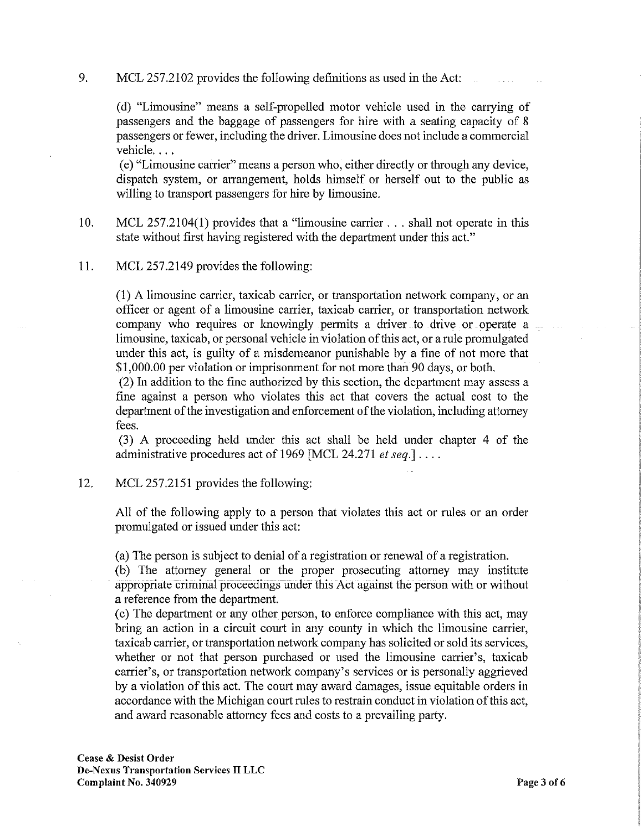9. MCL 257.2102 provides the following definitions as used in the Act:

(d) "Limousine" means a self-propelled motor vehicle used in the carrying of passengers and the baggage of passengers for hire with a seating capacity of 8 passengers or fewer, including the driver. Limousine does not include a commercial vehicle. . . .

(e) "Limousine carrier" means a person who, either directly or through any device, dispatch system, or arrangement, holds himself or herself out to the public as willing to transport passengers for hire by limousine.

- 10. MCL 257.2104(1) provides that a "limousine carrier . . . shall not operate in this state without first having registered with the department under this act."
- 11. MCL 257.2149 provides the following:

(1) A limousine carrier, taxicab carrier, or transportation network company, or an officer or agent of a limousine carrier, taxicab carrier, or transportation network company who requires or knowingly permits a driver to drive or operate a  $\label{eq:1} \lim_{n\to\infty}\frac{1}{n}\left(1-\frac{1}{n}\right) \leq \frac{1}{n}$ limousine, taxicab, or personal vehicle in violation of this act, or a rule promulgated under this act, is guilty of a misdemeanor punishable by a fine of not more that \$1,000.00 per violation or imprisonment for not more than 90 days, or both.

(2) In addition to the fine authorized by this section, the department may assess a fine against a person who violates this act that covers the actual cost to the department of the investigation and enforcement of the violation, including attorney fees.

(3) A proceeding held under this act shall be held under chapter 4 of the administrative procedures act of 1969 [MCL 24.271 et seq.]  $\dots$ 

12. MCL 257.2151 provides the following:

All of the following apply to a person that violates this act or rules or an order promulgated or issued under this act:

(a) The person is subject to denial of a registration or renewal of a registration.

(b) The attorney general or the proper prosecuting attorney may institute appropriate criminal proceedings under this Act against the person with or without a reference from the department.

(c) The department or any other person, to enforce compliance with this act, may bring an action in a circuit court in any county in which the limousine carrier, taxicab carrier, or transportation network company has solicited or sold its services, whether or not that person purchased or used the limousine carrier's, taxicab carrier's, or transportation network company's services or is personally aggrieved by a violation of this act. The court may award damages, issue equitable orders in accordance with the Michigan court rules to restrain conduct in violation of this act, and award reasonable attorney fees and costs to a prevailing party.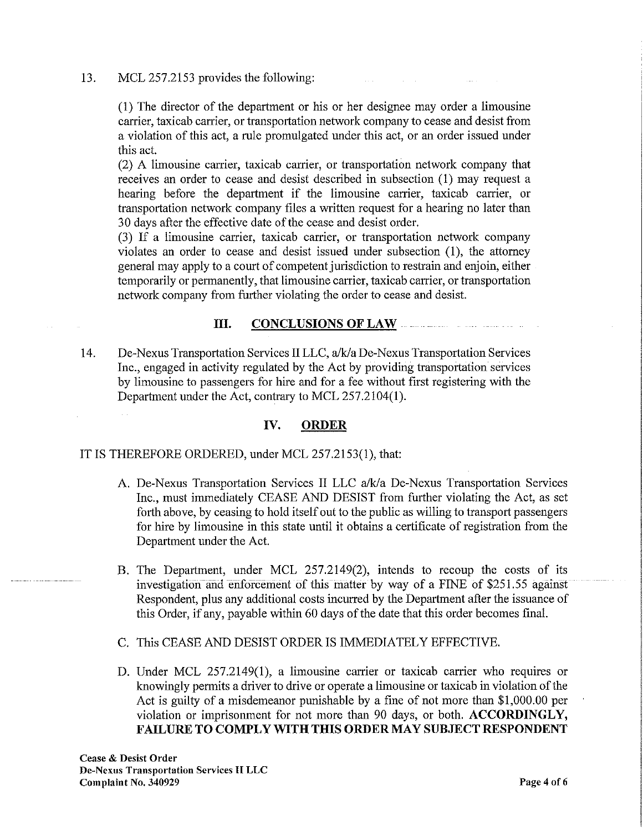13. MCL 257.2153 provides the following:

(1) The director of the department or his or her designee may order a limousine carrier, taxicab carrier, or transportation network company to cease and desist from a violation of this act, a rule promulgated under this act, or an order issued under this act.

(2) A limousine carrier, taxicab carrier, or transportation network company that receives an order to cease and desist described in subsection (1) may request a hearing before the department if the limousine carrier, taxicab carrier, or transportation network company files a written request for a hearing no later than 30 days after the effective date of the cease and desist order.

(3) If a limousine carrier, taxicab carrier, or transportation network company violates an order to cease and desist issued under subsection (1), the attorney general may apply to a court of competent jurisdiction to restrain and enjoin, either temporarily or permanently, that limousine carrier, taxicab carrier, or transportation network company from further violating the order to cease and desist.

#### III. CONCLUSIONS OF LAW

14. De-Nexus Transportation Services II LLC, a/k/a De-Nexus Transportation Services Inc., engaged in activity regulated by the Act by providing transportation services by limousine to passengers for hire and for a fee without first registering with the Department under the Act, contrary to MCL 257.2104(1).

# IV. ORDER

IT IS THEREFORE ORDERED, under MCL 257.2153(1), that:

- A. De-Nexus Transportation Services II LLC a/k/a De-Nexus Transportation Services Inc., must immediately CEASE AND DESIST from further violating the Act, as set forth above, by ceasing to hold itself out to the public as willing to transport passengers for hire by limousine in this state until it obtains a certificate of registration from the Department under the Act.
- B. The Department, under MCL 257.2149(2), intends to recoup the costs of its investigation and enforcement of this matter by way of a FINE of \$251.55 against Respondent, plus any additional costs incurred by the Department after the issuance of this Order, if any, payable within 60 days of the date that this order becomes final.
- C. This CEASE AND DESIST ORDER IS IMMEDIATELY EFFECTIVE.
- D. Under MCL 257.2149(1), a limousine carrier or taxicab carrier who requires or knowingly permits a driver to drive or operate a limousine or taxicab in violation of the Act is guilty of a misdemeanor punishable by a fine of not more than \$1,000.00 per violation or imprisonment for not more than 90 days, or both. ACCORDINGLY, FAILURE TO COMPLY WITH THIS ORDER MAY SUBJECT RESPONDENT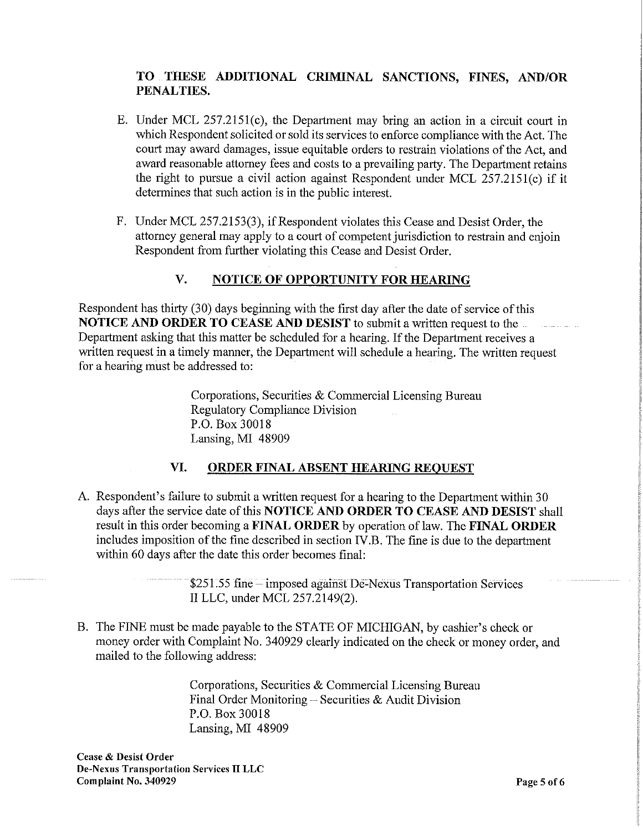# TO THESE ADDITIONAL CRIMINAL SANCTIONS, FINES, AND/OR PENALTIES.

- E. Under MCL 257.2151(c), the Department may bring an action in a circuit court in which Respondent solicited or sold its services to enforce compliance with the Act. The court may award damages, issue equitable orders to restrain violations of the Act, and award reasonable attorney fees and costs to a prevailing party. The Department retains the right to pursue a civil action against Respondent under MCL 257.2151(c) if it determines that such action is in the public interest.
- F. Under MCL 257.2153(3), if Respondent violates this Cease and Desist Order, the attorney general may apply to a court of competent jurisdiction to restrain and enjoin Respondent from further violating this Cease and Desist Order.

# V. NOTICE OF OPPORTUNITY FOR HEARING

Respondent has thirty (30) days beginning with the first day after the date of service of this NOTICE AND ORDER TO CEASE AND DESIST to submit a written request to the Department asking that this matter be scheduled for a hearing. If the Department receives a written request in a timely manner, the Department will schedule a hearing. The written request for a hearing must be addressed to:

> Corporations, Securities & Commercial Licensing Bureau Regulatory Compliance Division P.O. Box 30018 Lansing, MI 48909

# VI. ORDER FINAL ABSENT HEARING REQUEST

A. Respondent's failure to submit a written request for a hearing to the Department within 30 days after the service date of this NOTICE AND ORDER TO CEASE AND DESIST shall result in this order becoming a FINAL ORDER by operation of law. The FINAL ORDER includes imposition of the fine described in section IV.B. The fine is due to the department within 60 days after the date this order becomes final:

> \$251.55 fine — imposed against De-Nexus Transportation Services II LLC, under MCL 257.2149(2).

B. The FINE must be made payable to the STATE OF MICHIGAN, by cashier's check or money order with Complaint No. 340929 clearly indicated on the check or money order, and mailed to the following address:

> Corporations, Securities & Commercial Licensing Bureau Final Order Monitoring — Securities & Audit Division P.O. Box 30018 Lansing, MI 48909